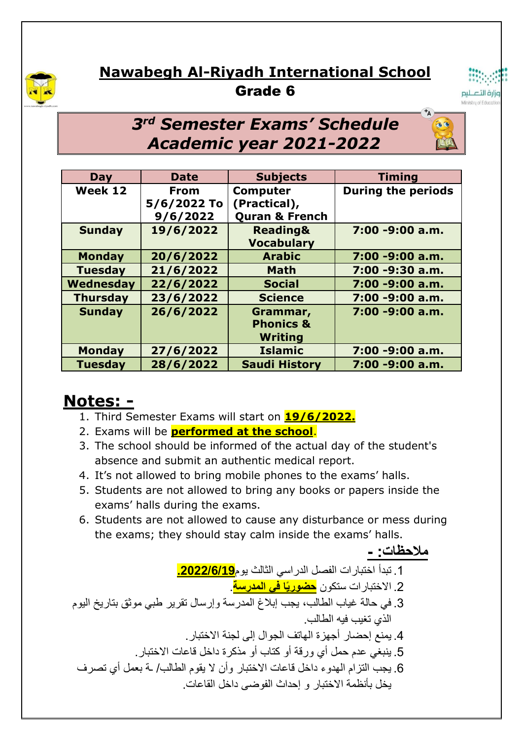

## **Nawabegh Al-Riyadh International School** Grade 6



## *3 rd Semester Exams' Schedule Academic year 2021-2022*

| Day             | <b>Date</b>                            | <b>Subjects</b>                                              | <b>Timing</b>             |
|-----------------|----------------------------------------|--------------------------------------------------------------|---------------------------|
| Week 12         | <b>From</b><br>5/6/2022 To<br>9/6/2022 | <b>Computer</b><br>(Practical),<br><b>Quran &amp; French</b> | <b>During the periods</b> |
| <b>Sunday</b>   | 19/6/2022                              | <b>Reading&amp;</b><br><b>Vocabulary</b>                     | 7:00 -9:00 a.m.           |
| <b>Monday</b>   | 20/6/2022                              | <b>Arabic</b>                                                | 7:00 -9:00 a.m.           |
| <b>Tuesday</b>  | 21/6/2022                              | <b>Math</b>                                                  | 7:00 -9:30 a.m.           |
| Wednesday       | 22/6/2022                              | <b>Social</b>                                                | 7:00 -9:00 a.m.           |
| <b>Thursday</b> | 23/6/2022                              | <b>Science</b>                                               | 7:00 -9:00 a.m.           |
| <b>Sunday</b>   | 26/6/2022                              | Grammar,<br><b>Phonics &amp;</b><br><b>Writing</b>           | 7:00 -9:00 a.m.           |
| <b>Monday</b>   | 27/6/2022                              | <b>Islamic</b>                                               | 7:00 -9:00 a.m.           |
| <b>Tuesday</b>  | 28/6/2022                              | <b>Saudi History</b>                                         | 7:00 -9:00 a.m.           |

## **Notes: -**

- 1. Third Semester Exams will start on **19/6/2022.**
- 2. Exams will be **performed at the school**.
- 3. The school should be informed of the actual day of the student's absence and submit an authentic medical report.
- 4. It's not allowed to bring mobile phones to the exams' halls.
- 5. Students are not allowed to bring any books or papers inside the exams' halls during the exams.
- 6. Students are not allowed to cause any disturbance or mess during the exams; they should stay calm inside the exams' halls.

**مالحظات: -** .1 تبدأ اختبارات الفصل الدراسي الثالث يوم**.2022/6/19** .2 االختبارات ستكون **حضوريًا في المدرسة**. .3 في حالة غياب الطالب، يجب إبالغ المدرسة وإرسال تقرير طبي موثق بتاريخ اليوم الذي تغيب فيه الطالب. .4 يمنع إحضار أجهزة الهاتف الجوال إلى لجنة االختبار. .5 ينبغي عدم حمل أي ورقة أو كتاب أو مذكرة داخل قاعات االختبار. .6 يجب التزام الهدوء داخل قاعات االختبار وأن ال يقوم الطالب/ ـة بعمل أي تصرف يخل بأنظمة االختبار و إحداث الفوضى داخل القاعات.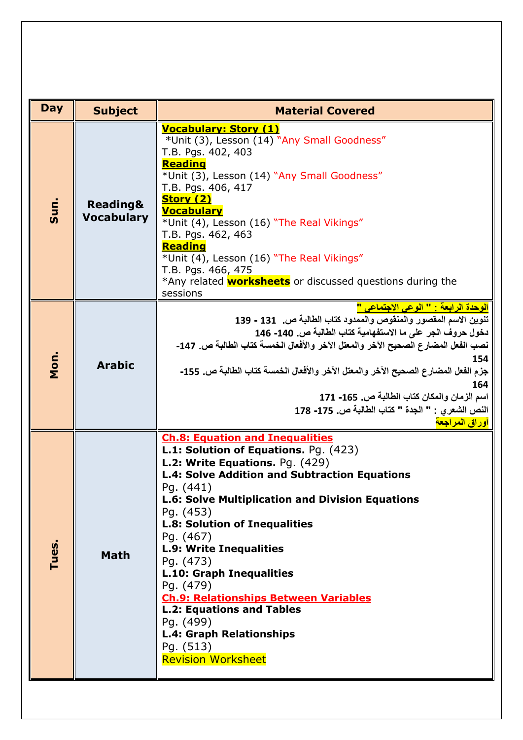| <b>Day</b> |                                          |                                                                                                                                                                                                                                                                                                                                                                                                                                                                                                                                                                                                   |  |
|------------|------------------------------------------|---------------------------------------------------------------------------------------------------------------------------------------------------------------------------------------------------------------------------------------------------------------------------------------------------------------------------------------------------------------------------------------------------------------------------------------------------------------------------------------------------------------------------------------------------------------------------------------------------|--|
|            | <b>Subject</b>                           | <b>Material Covered</b>                                                                                                                                                                                                                                                                                                                                                                                                                                                                                                                                                                           |  |
| Sun.       | <b>Reading&amp;</b><br><b>Vocabulary</b> | <b>Vocabulary: Story (1)</b><br>*Unit (3), Lesson (14) "Any Small Goodness"<br>T.B. Pgs. 402, 403<br>Reading<br>*Unit (3), Lesson (14) "Any Small Goodness"<br>T.B. Pgs. 406, 417<br><b>Story (2)</b><br><b>Vocabulary</b><br>*Unit (4), Lesson (16) "The Real Vikings"<br>T.B. Pgs. 462, 463<br><b>Reading</b><br>*Unit (4), Lesson (16) "The Real Vikings"<br>T.B. Pgs. 466, 475<br>*Any related <b>worksheets</b> or discussed questions during the<br>sessions                                                                                                                                |  |
| Mon.       | <b>Arabic</b>                            | الوحدة الرابعة : " الوعى الاجتماعى "<br>تنوين الاسم المقصور والمنقوص والممدود كتاب الطالبة ص.   131 - 139<br>دخول حروف الجر على ما الاستفهامية كتاب الطالبة ص. 140- 146<br>نصب الفعل المضارع الصحيح الآخر والمعتل الآخر والأفعال الخمسة كتاب الطالبة ص. 147-<br>154<br>جزم الفعل المضارع الصحيح الآخر والمعتل الآخر والأفعال الخمسة كتاب الطالبة ص. 155-<br>164<br>اسم الزمان والمكان كتاب الطالبة ص. 165- 171<br>النص الشعرى : " الجدة " كتاب الطالبة ص. 175- 178<br>أوراق المراجعة                                                                                                              |  |
| Tues.      | <b>Math</b>                              | <b>Ch.8: Equation and Inequalities</b><br><b>L.1: Solution of Equations. Pg. (423)</b><br>L.2: Write Equations. Pg. (429)<br><b>L.4: Solve Addition and Subtraction Equations</b><br>Pg. (441)<br><b>L.6: Solve Multiplication and Division Equations</b><br>Pg. (453)<br><b>L.8: Solution of Inequalities</b><br>Pg. (467)<br><b>L.9: Write Inequalities</b><br>Pg. (473)<br><b>L.10: Graph Inequalities</b><br>Pg. (479)<br><b>Ch.9: Relationships Between Variables</b><br><b>L.2: Equations and Tables</b><br>Pg. (499)<br>L.4: Graph Relationships<br>Pg. (513)<br><b>Revision Worksheet</b> |  |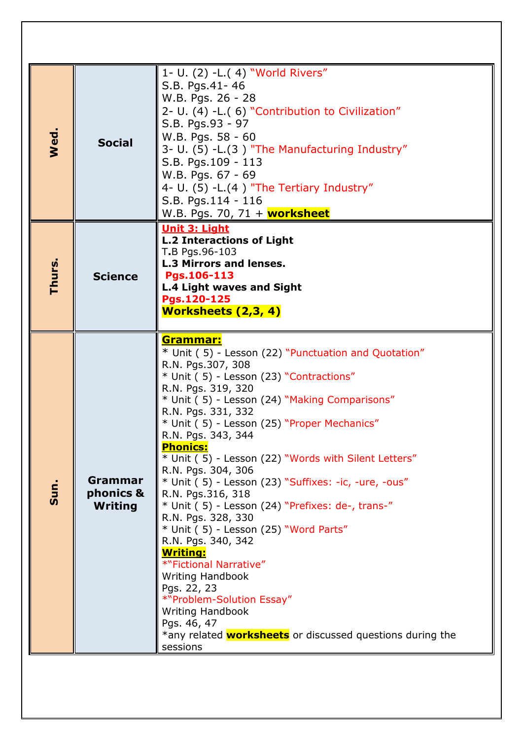| Wed.   | <b>Social</b>                          | 1- U. (2) -L.(4) "World Rivers"<br>S.B. Pgs.41-46<br>W.B. Pgs. 26 - 28<br>2- U. (4) -L.( 6) "Contribution to Civilization"<br>S.B. Pgs.93 - 97<br>W.B. Pgs. 58 - 60<br>3- U. (5) -L.(3) "The Manufacturing Industry"<br>S.B. Pgs.109 - 113<br>W.B. Pgs. 67 - 69<br>4- U. $(5)$ -L. $(4)$ "The Tertiary Industry"<br>S.B. Pgs.114 - 116<br>W.B. Pgs. 70, 71 + worksheet                                                                                                                                                                                                                                                                                                                                                                                                                                                                                                          |
|--------|----------------------------------------|---------------------------------------------------------------------------------------------------------------------------------------------------------------------------------------------------------------------------------------------------------------------------------------------------------------------------------------------------------------------------------------------------------------------------------------------------------------------------------------------------------------------------------------------------------------------------------------------------------------------------------------------------------------------------------------------------------------------------------------------------------------------------------------------------------------------------------------------------------------------------------|
| Thurs. | <b>Science</b>                         | <b>Unit 3: Light</b><br><b>L.2 Interactions of Light</b><br>T.B Pgs.96-103<br><b>L.3 Mirrors and lenses.</b><br>Pgs.106-113<br><b>L.4 Light waves and Sight</b><br>Pgs.120-125<br><b>Worksheets (2,3, 4)</b>                                                                                                                                                                                                                                                                                                                                                                                                                                                                                                                                                                                                                                                                    |
| Sun.   | Grammar<br>phonics &<br><b>Writing</b> | <u>Grammar:</u><br>* Unit (5) - Lesson (22) "Punctuation and Quotation"<br>R.N. Pgs.307, 308<br>* Unit (5) - Lesson (23) "Contractions"<br>R.N. Pgs. 319, 320<br>* Unit (5) - Lesson (24) "Making Comparisons"<br>R.N. Pgs. 331, 332<br>* Unit (5) - Lesson (25) "Proper Mechanics"<br>R.N. Pgs. 343, 344<br><b>Phonics:</b><br>* Unit (5) - Lesson (22) "Words with Silent Letters"<br>R.N. Pgs. 304, 306<br>* Unit (5) - Lesson (23) "Suffixes: -ic, -ure, -ous"<br>R.N. Pgs.316, 318<br>* Unit (5) - Lesson (24) "Prefixes: de-, trans-"<br>R.N. Pgs. 328, 330<br>* Unit (5) - Lesson (25) "Word Parts"<br>R.N. Pgs. 340, 342<br><u> Writing:</u><br>*"Fictional Narrative"<br><b>Writing Handbook</b><br>Pgs. 22, 23<br>*"Problem-Solution Essay"<br><b>Writing Handbook</b><br>Pgs. 46, 47<br>*any related <b>worksheets</b> or discussed questions during the<br>sessions |